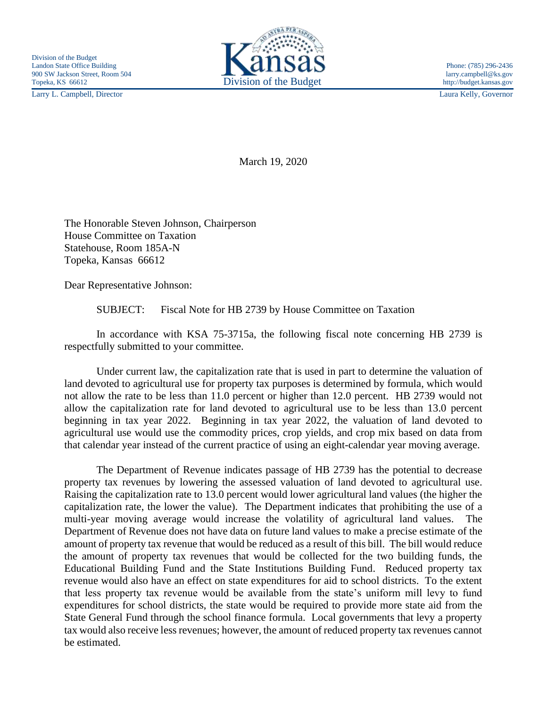Larry L. Campbell, Director Laura Kelly, Governor



March 19, 2020

The Honorable Steven Johnson, Chairperson House Committee on Taxation Statehouse, Room 185A-N Topeka, Kansas 66612

Dear Representative Johnson:

SUBJECT: Fiscal Note for HB 2739 by House Committee on Taxation

In accordance with KSA 75-3715a, the following fiscal note concerning HB 2739 is respectfully submitted to your committee.

Under current law, the capitalization rate that is used in part to determine the valuation of land devoted to agricultural use for property tax purposes is determined by formula, which would not allow the rate to be less than 11.0 percent or higher than 12.0 percent. HB 2739 would not allow the capitalization rate for land devoted to agricultural use to be less than 13.0 percent beginning in tax year 2022. Beginning in tax year 2022, the valuation of land devoted to agricultural use would use the commodity prices, crop yields, and crop mix based on data from that calendar year instead of the current practice of using an eight-calendar year moving average.

The Department of Revenue indicates passage of HB 2739 has the potential to decrease property tax revenues by lowering the assessed valuation of land devoted to agricultural use. Raising the capitalization rate to 13.0 percent would lower agricultural land values (the higher the capitalization rate, the lower the value). The Department indicates that prohibiting the use of a multi-year moving average would increase the volatility of agricultural land values. The Department of Revenue does not have data on future land values to make a precise estimate of the amount of property tax revenue that would be reduced as a result of this bill. The bill would reduce the amount of property tax revenues that would be collected for the two building funds, the Educational Building Fund and the State Institutions Building Fund. Reduced property tax revenue would also have an effect on state expenditures for aid to school districts. To the extent that less property tax revenue would be available from the state's uniform mill levy to fund expenditures for school districts, the state would be required to provide more state aid from the State General Fund through the school finance formula. Local governments that levy a property tax would also receive less revenues; however, the amount of reduced property tax revenues cannot be estimated.